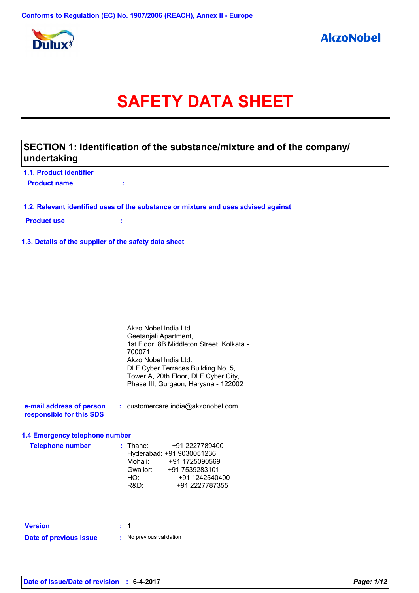

# **SAFETY DATA SHEET**

# **SECTION 1: Identification of the substance/mixture and of the company/ undertaking**

**1.1. Product identifier Product name :**

### **1.2. Relevant identified uses of the substance or mixture and uses advised against**

**Product use :**

**1.3. Details of the supplier of the safety data sheet**

|                                                      | Akzo Nobel India Ltd.<br>Geetanjali Apartment,<br>1st Floor, 8B Middleton Street, Kolkata -<br>700071<br>Akzo Nobel India Ltd.<br>DLF Cyber Terraces Building No. 5,<br>Tower A, 20th Floor, DLF Cyber City,<br>Phase III, Gurgaon, Haryana - 122002 |
|------------------------------------------------------|------------------------------------------------------------------------------------------------------------------------------------------------------------------------------------------------------------------------------------------------------|
| e-mail address of person<br>responsible for this SDS | : customercare.india@akzonobel.com                                                                                                                                                                                                                   |
| 1.4 Emergency telephone number                       |                                                                                                                                                                                                                                                      |
| <b>Telephone number</b>                              | +91 2227789400<br>: Thane:<br>Hyderabad: +91 9030051236<br>Mohali:<br>+91 1725090569<br>Gwalior:<br>+91 7539283101<br>HO: HO<br>+91 1242540400<br>R&D:<br>+91 2227787355                                                                             |
| <b>Version</b>                                       | : 1                                                                                                                                                                                                                                                  |
| Date of previous issue                               | No previous validation                                                                                                                                                                                                                               |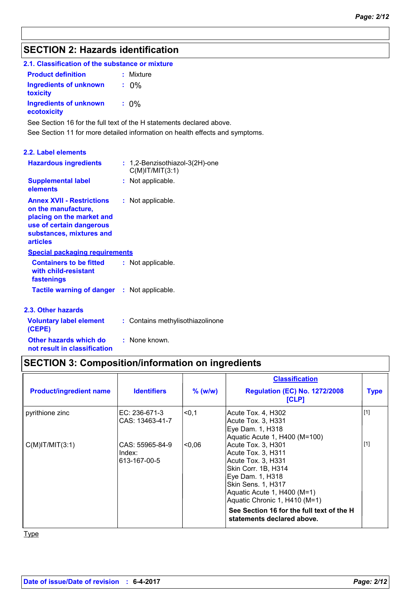# **SECTION 2: Hazards identification**

| 2.1. Classification of the substance or mixture |           |
|-------------------------------------------------|-----------|
| <b>Product definition</b>                       | : Mixture |
| Ingredients of unknown<br>toxicity              |           |
| <b>Ingredients of unknown</b><br>ecotoxicity    | $: 0\%$   |
|                                                 |           |

See Section 16 for the full text of the H statements declared above.

See Section 11 for more detailed information on health effects and symptoms.

### **2.2. Label elements**

| <b>Hazardous ingredients</b>                                                                                                                                    | : 1,2-Benzisothiazol-3(2H)-one<br>$C(M)$ IT/MIT $(3:1)$ |
|-----------------------------------------------------------------------------------------------------------------------------------------------------------------|---------------------------------------------------------|
| <b>Supplemental label</b><br>elements                                                                                                                           | : Not applicable.                                       |
| <b>Annex XVII - Restrictions</b><br>on the manufacture,<br>placing on the market and<br>use of certain dangerous<br>substances, mixtures and<br><b>articles</b> | : Not applicable.                                       |
| <b>Special packaging requirements</b>                                                                                                                           |                                                         |
| <b>Containers to be fitted</b><br>with child-resistant<br>fastenings                                                                                            | : Not applicable.                                       |
| <b>Tactile warning of danger : Not applicable.</b>                                                                                                              |                                                         |
| 2.3. Other hazards                                                                                                                                              |                                                         |

| <b>Voluntary label element</b><br>(CEPE)               | : Contains methylisothiazolinone |
|--------------------------------------------------------|----------------------------------|
| Other hazards which do<br>not result in classification | : None known.                    |

# **SECTION 3: Composition/information on ingredients**

| <b>Product/ingredient name</b> | <b>Identifiers</b>                        | $%$ (w/w)      | <b>Classification</b><br><b>Regulation (EC) No. 1272/2008</b><br>[CLP]                                                                                                                           | <b>Type</b> |
|--------------------------------|-------------------------------------------|----------------|--------------------------------------------------------------------------------------------------------------------------------------------------------------------------------------------------|-------------|
| pyrithione zinc                | EC: 236-671-3<br>CAS: 13463-41-7          | <sub>0,1</sub> | Acute Tox. 4, H302<br>Acute Tox. 3, H331 <br>Eye Dam. 1, H318<br>Aquatic Acute 1, H400 (M=100)                                                                                                   | [1]         |
| $C(M)$ IT/MIT $(3:1)$          | CAS: 55965-84-9<br>Index:<br>613-167-00-5 | <0.06          | Acute Tox. 3, H301<br>Acute Tox. 3, H311<br>Acute Tox. 3, H331 <br>Skin Corr. 1B, H314<br>Eye Dam. 1, H318<br>Skin Sens. 1, H317<br>Aquatic Acute 1, H400 (M=1)<br>Aquatic Chronic 1, H410 (M=1) | $[1]$       |
|                                |                                           |                | See Section 16 for the full text of the H<br>statements declared above.                                                                                                                          |             |

**Type**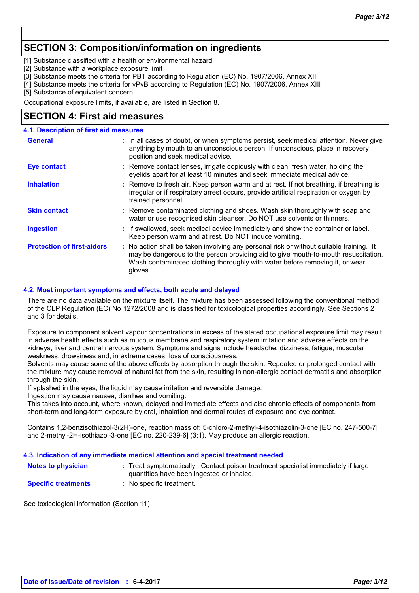# **SECTION 3: Composition/information on ingredients**

[1] Substance classified with a health or environmental hazard

[2] Substance with a workplace exposure limit

[3] Substance meets the criteria for PBT according to Regulation (EC) No. 1907/2006, Annex XIII

[4] Substance meets the criteria for vPvB according to Regulation (EC) No. 1907/2006, Annex XIII

[5] Substance of equivalent concern

Occupational exposure limits, if available, are listed in Section 8.

### **SECTION 4: First aid measures**

#### **:** If swallowed, seek medical advice immediately and show the container or label. Keep person warm and at rest. Do NOT induce vomiting. Remove contact lenses, irrigate copiously with clean, fresh water, holding the **:** eyelids apart for at least 10 minutes and seek immediate medical advice. Remove contaminated clothing and shoes. Wash skin thoroughly with soap and **:** water or use recognised skin cleanser. Do NOT use solvents or thinners. **:** Remove to fresh air. Keep person warm and at rest. If not breathing, if breathing is irregular or if respiratory arrest occurs, provide artificial respiration or oxygen by trained personnel. General **In all cases of doubt, or when symptoms persist, seek medical attention. Never give <b>General** anything by mouth to an unconscious person. If unconscious, place in recovery position and seek medical advice. **Skin contact 4.1. Description of first aid measures Ingestion Inhalation Eye contact Protection of first-aiders :** No action shall be taken involving any personal risk or without suitable training. It may be dangerous to the person providing aid to give mouth-to-mouth resuscitation. Wash contaminated clothing thoroughly with water before removing it, or wear gloves.

### **4.2. Most important symptoms and effects, both acute and delayed**

There are no data available on the mixture itself. The mixture has been assessed following the conventional method of the CLP Regulation (EC) No 1272/2008 and is classified for toxicological properties accordingly. See Sections 2 and 3 for details.

Exposure to component solvent vapour concentrations in excess of the stated occupational exposure limit may result in adverse health effects such as mucous membrane and respiratory system irritation and adverse effects on the kidneys, liver and central nervous system. Symptoms and signs include headache, dizziness, fatigue, muscular weakness, drowsiness and, in extreme cases, loss of consciousness.

Solvents may cause some of the above effects by absorption through the skin. Repeated or prolonged contact with the mixture may cause removal of natural fat from the skin, resulting in non-allergic contact dermatitis and absorption through the skin.

If splashed in the eyes, the liquid may cause irritation and reversible damage.

Ingestion may cause nausea, diarrhea and vomiting.

This takes into account, where known, delayed and immediate effects and also chronic effects of components from short-term and long-term exposure by oral, inhalation and dermal routes of exposure and eye contact.

Contains 1,2-benzisothiazol-3(2H)-one, reaction mass of: 5-chloro-2-methyl-4-isothiazolin-3-one [EC no. 247-500-7] and 2-methyl-2H-isothiazol-3-one [EC no. 220-239-6] (3:1). May produce an allergic reaction.

### **4.3. Indication of any immediate medical attention and special treatment needed**

| <b>Notes to physician</b> | Treat symptomatically. Contact poison treatment specialist immediately if large |
|---------------------------|---------------------------------------------------------------------------------|
|                           | quantities have been ingested or inhaled.                                       |
|                           |                                                                                 |

**Specific treatments :** No specific treatment.

See toxicological information (Section 11)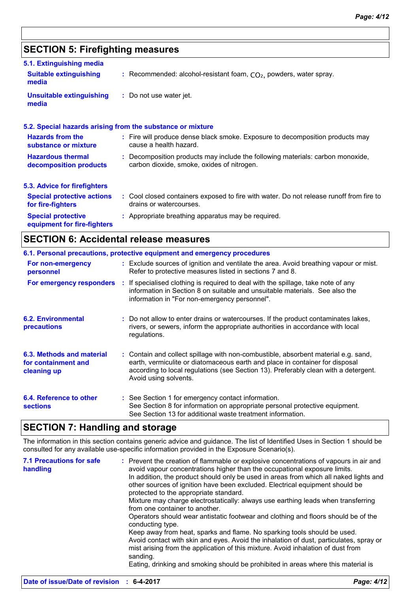# **SECTION 5: Firefighting measures**

| 5.1. Extinguishing media                                 |                                                                                                                              |
|----------------------------------------------------------|------------------------------------------------------------------------------------------------------------------------------|
| <b>Suitable extinguishing</b><br>media                   | : Recommended: alcohol-resistant foam, $CO2$ , powders, water spray.                                                         |
| <b>Unsuitable extinguishing</b><br>media                 | : Do not use water jet.                                                                                                      |
|                                                          | 5.2. Special hazards arising from the substance or mixture                                                                   |
| <b>Hazards from the</b><br>substance or mixture          | : Fire will produce dense black smoke. Exposure to decomposition products may<br>cause a health hazard.                      |
| <b>Hazardous thermal</b><br>decomposition products       | : Decomposition products may include the following materials: carbon monoxide,<br>carbon dioxide, smoke, oxides of nitrogen. |
| 5.3. Advice for firefighters                             |                                                                                                                              |
| <b>Special protective actions</b><br>for fire-fighters   | : Cool closed containers exposed to fire with water. Do not release runoff from fire to<br>drains or watercourses.           |
| <b>Special protective</b><br>equipment for fire-fighters | : Appropriate breathing apparatus may be required.                                                                           |

# **SECTION 6: Accidental release measures**

| 6.1. Personal precautions, protective equipment and emergency procedures |  |                                                                                                                                                                                                                                                                                    |  |  |
|--------------------------------------------------------------------------|--|------------------------------------------------------------------------------------------------------------------------------------------------------------------------------------------------------------------------------------------------------------------------------------|--|--|
| For non-emergency<br>personnel                                           |  | : Exclude sources of ignition and ventilate the area. Avoid breathing vapour or mist.<br>Refer to protective measures listed in sections 7 and 8.                                                                                                                                  |  |  |
|                                                                          |  | For emergency responders : If specialised clothing is required to deal with the spillage, take note of any<br>information in Section 8 on suitable and unsuitable materials. See also the<br>information in "For non-emergency personnel".                                         |  |  |
| <b>6.2. Environmental</b><br>precautions                                 |  | : Do not allow to enter drains or watercourses. If the product contaminates lakes,<br>rivers, or sewers, inform the appropriate authorities in accordance with local<br>regulations.                                                                                               |  |  |
| 6.3. Methods and material<br>for containment and<br>cleaning up          |  | : Contain and collect spillage with non-combustible, absorbent material e.g. sand,<br>earth, vermiculite or diatomaceous earth and place in container for disposal<br>according to local regulations (see Section 13). Preferably clean with a detergent.<br>Avoid using solvents. |  |  |
| 6.4. Reference to other<br><b>sections</b>                               |  | : See Section 1 for emergency contact information.<br>See Section 8 for information on appropriate personal protective equipment.<br>See Section 13 for additional waste treatment information.                                                                                    |  |  |

### **SECTION 7: Handling and storage**

The information in this section contains generic advice and guidance. The list of Identified Uses in Section 1 should be consulted for any available use-specific information provided in the Exposure Scenario(s).

| <b>7.1 Precautions for safe</b><br>handling | : Prevent the creation of flammable or explosive concentrations of vapours in air and<br>avoid vapour concentrations higher than the occupational exposure limits.<br>In addition, the product should only be used in areas from which all naked lights and<br>other sources of ignition have been excluded. Electrical equipment should be<br>protected to the appropriate standard.<br>Mixture may charge electrostatically: always use earthing leads when transferring<br>from one container to another.<br>Operators should wear antistatic footwear and clothing and floors should be of the<br>conducting type.<br>Keep away from heat, sparks and flame. No sparking tools should be used.<br>Avoid contact with skin and eyes. Avoid the inhalation of dust, particulates, spray or<br>mist arising from the application of this mixture. Avoid inhalation of dust from<br>sanding.<br>Eating, drinking and smoking should be prohibited in areas where this material is |
|---------------------------------------------|-----------------------------------------------------------------------------------------------------------------------------------------------------------------------------------------------------------------------------------------------------------------------------------------------------------------------------------------------------------------------------------------------------------------------------------------------------------------------------------------------------------------------------------------------------------------------------------------------------------------------------------------------------------------------------------------------------------------------------------------------------------------------------------------------------------------------------------------------------------------------------------------------------------------------------------------------------------------------------------|
|                                             |                                                                                                                                                                                                                                                                                                                                                                                                                                                                                                                                                                                                                                                                                                                                                                                                                                                                                                                                                                                   |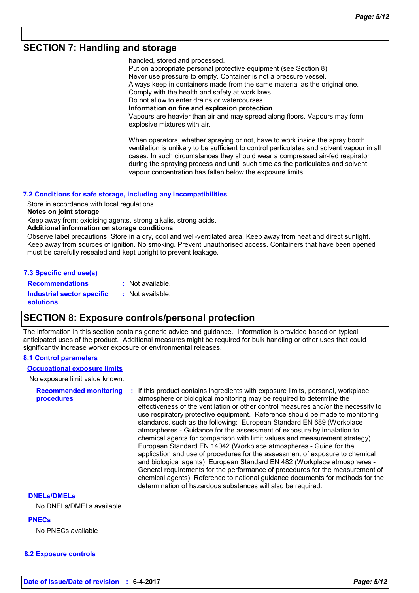## **SECTION 7: Handling and storage**

handled, stored and processed.

Put on appropriate personal protective equipment (see Section 8). Never use pressure to empty. Container is not a pressure vessel. Always keep in containers made from the same material as the original one. Comply with the health and safety at work laws. Do not allow to enter drains or watercourses. **Information on fire and explosion protection** Vapours are heavier than air and may spread along floors. Vapours may form

explosive mixtures with air.

When operators, whether spraying or not, have to work inside the spray booth, ventilation is unlikely to be sufficient to control particulates and solvent vapour in all cases. In such circumstances they should wear a compressed air-fed respirator during the spraying process and until such time as the particulates and solvent vapour concentration has fallen below the exposure limits.

### **7.2 Conditions for safe storage, including any incompatibilities**

Store in accordance with local regulations.

#### **Notes on joint storage**

Keep away from: oxidising agents, strong alkalis, strong acids.

**Additional information on storage conditions**

Observe label precautions. Store in a dry, cool and well-ventilated area. Keep away from heat and direct sunlight. Keep away from sources of ignition. No smoking. Prevent unauthorised access. Containers that have been opened must be carefully resealed and kept upright to prevent leakage.

| 7.3 Specific end use(s)                               |                  |
|-------------------------------------------------------|------------------|
| <b>Recommendations</b>                                | : Not available. |
| <b>Industrial sector specific</b><br><b>solutions</b> | : Not available. |

### **SECTION 8: Exposure controls/personal protection**

The information in this section contains generic advice and guidance. Information is provided based on typical anticipated uses of the product. Additional measures might be required for bulk handling or other uses that could significantly increase worker exposure or environmental releases.

### **8.1 Control parameters**

**Occupational exposure limits**

No exposure limit value known.

| <b>Recommended monitoring</b><br><b>procedures</b> | If this product contains ingredients with exposure limits, personal, workplace<br>atmosphere or biological monitoring may be required to determine the<br>effectiveness of the ventilation or other control measures and/or the necessity to<br>use respiratory protective equipment. Reference should be made to monitoring<br>standards, such as the following: European Standard EN 689 (Workplace<br>atmospheres - Guidance for the assessment of exposure by inhalation to<br>chemical agents for comparison with limit values and measurement strategy)<br>European Standard EN 14042 (Workplace atmospheres - Guide for the<br>application and use of procedures for the assessment of exposure to chemical<br>and biological agents) European Standard EN 482 (Workplace atmospheres -<br>General requirements for the performance of procedures for the measurement of<br>chemical agents) Reference to national guidance documents for methods for the<br>determination of hazardous substances will also be required. |
|----------------------------------------------------|----------------------------------------------------------------------------------------------------------------------------------------------------------------------------------------------------------------------------------------------------------------------------------------------------------------------------------------------------------------------------------------------------------------------------------------------------------------------------------------------------------------------------------------------------------------------------------------------------------------------------------------------------------------------------------------------------------------------------------------------------------------------------------------------------------------------------------------------------------------------------------------------------------------------------------------------------------------------------------------------------------------------------------|
|                                                    |                                                                                                                                                                                                                                                                                                                                                                                                                                                                                                                                                                                                                                                                                                                                                                                                                                                                                                                                                                                                                                  |

### **DNELs/DMELs**

No DNELs/DMELs available.

**PNECs**

No PNECs available

#### **8.2 Exposure controls**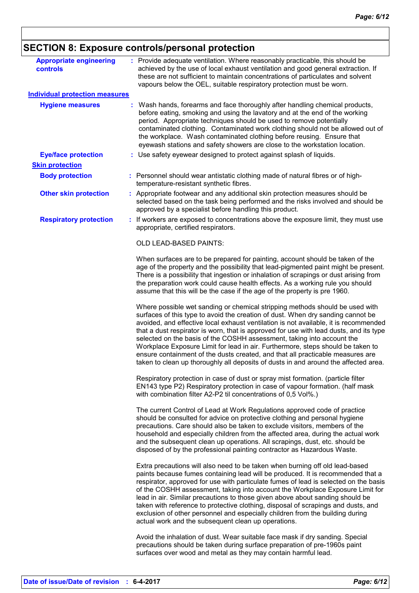# **SECTION 8: Exposure controls/personal protection**

| <b>Appropriate engineering</b><br><b>controls</b> | : Provide adequate ventilation. Where reasonably practicable, this should be<br>achieved by the use of local exhaust ventilation and good general extraction. If<br>these are not sufficient to maintain concentrations of particulates and solvent<br>vapours below the OEL, suitable respiratory protection must be worn.                                                                                                                                                                                                                                                                                                                                                             |
|---------------------------------------------------|-----------------------------------------------------------------------------------------------------------------------------------------------------------------------------------------------------------------------------------------------------------------------------------------------------------------------------------------------------------------------------------------------------------------------------------------------------------------------------------------------------------------------------------------------------------------------------------------------------------------------------------------------------------------------------------------|
| <b>Individual protection measures</b>             |                                                                                                                                                                                                                                                                                                                                                                                                                                                                                                                                                                                                                                                                                         |
| <b>Hygiene measures</b>                           | Wash hands, forearms and face thoroughly after handling chemical products,<br>before eating, smoking and using the lavatory and at the end of the working<br>period. Appropriate techniques should be used to remove potentially<br>contaminated clothing. Contaminated work clothing should not be allowed out of<br>the workplace. Wash contaminated clothing before reusing. Ensure that<br>eyewash stations and safety showers are close to the workstation location.                                                                                                                                                                                                               |
| <b>Eye/face protection</b>                        | : Use safety eyewear designed to protect against splash of liquids.                                                                                                                                                                                                                                                                                                                                                                                                                                                                                                                                                                                                                     |
| <b>Skin protection</b>                            |                                                                                                                                                                                                                                                                                                                                                                                                                                                                                                                                                                                                                                                                                         |
| <b>Body protection</b>                            | : Personnel should wear antistatic clothing made of natural fibres or of high-<br>temperature-resistant synthetic fibres.                                                                                                                                                                                                                                                                                                                                                                                                                                                                                                                                                               |
| <b>Other skin protection</b>                      | : Appropriate footwear and any additional skin protection measures should be<br>selected based on the task being performed and the risks involved and should be<br>approved by a specialist before handling this product.                                                                                                                                                                                                                                                                                                                                                                                                                                                               |
| <b>Respiratory protection</b>                     | : If workers are exposed to concentrations above the exposure limit, they must use<br>appropriate, certified respirators.                                                                                                                                                                                                                                                                                                                                                                                                                                                                                                                                                               |
|                                                   | <b>OLD LEAD-BASED PAINTS:</b>                                                                                                                                                                                                                                                                                                                                                                                                                                                                                                                                                                                                                                                           |
|                                                   | When surfaces are to be prepared for painting, account should be taken of the<br>age of the property and the possibility that lead-pigmented paint might be present.<br>There is a possibility that ingestion or inhalation of scrapings or dust arising from<br>the preparation work could cause health effects. As a working rule you should<br>assume that this will be the case if the age of the property is pre 1960.                                                                                                                                                                                                                                                             |
|                                                   | Where possible wet sanding or chemical stripping methods should be used with<br>surfaces of this type to avoid the creation of dust. When dry sanding cannot be<br>avoided, and effective local exhaust ventilation is not available, it is recommended<br>that a dust respirator is worn, that is approved for use with lead dusts, and its type<br>selected on the basis of the COSHH assessment, taking into account the<br>Workplace Exposure Limit for lead in air. Furthermore, steps should be taken to<br>ensure containment of the dusts created, and that all practicable measures are<br>taken to clean up thoroughly all deposits of dusts in and around the affected area. |
|                                                   | Respiratory protection in case of dust or spray mist formation. (particle filter<br>EN143 type P2) Respiratory protection in case of vapour formation. (half mask<br>with combination filter A2-P2 til concentrations of 0,5 Vol%.)                                                                                                                                                                                                                                                                                                                                                                                                                                                     |
|                                                   | The current Control of Lead at Work Regulations approved code of practice<br>should be consulted for advice on protective clothing and personal hygiene<br>precautions. Care should also be taken to exclude visitors, members of the<br>household and especially children from the affected area, during the actual work<br>and the subsequent clean up operations. All scrapings, dust, etc. should be<br>disposed of by the professional painting contractor as Hazardous Waste.                                                                                                                                                                                                     |
|                                                   | Extra precautions will also need to be taken when burning off old lead-based<br>paints because fumes containing lead will be produced. It is recommended that a<br>respirator, approved for use with particulate fumes of lead is selected on the basis<br>of the COSHH assessment, taking into account the Workplace Exposure Limit for<br>lead in air. Similar precautions to those given above about sanding should be<br>taken with reference to protective clothing, disposal of scrapings and dusts, and<br>exclusion of other personnel and especially children from the building during<br>actual work and the subsequent clean up operations.                                  |
|                                                   | Avoid the inhalation of dust. Wear suitable face mask if dry sanding. Special<br>precautions should be taken during surface preparation of pre-1960s paint<br>surfaces over wood and metal as they may contain harmful lead.                                                                                                                                                                                                                                                                                                                                                                                                                                                            |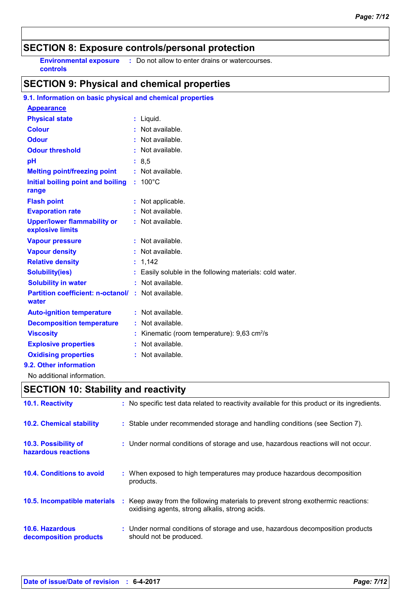### **SECTION 8: Exposure controls/personal protection**

**controls**

**Environmental exposure :** Do not allow to enter drains or watercourses.

# **SECTION 9: Physical and chemical properties**

| 9.1. Information on basic physical and chemical properties  |  |                                                        |  |  |
|-------------------------------------------------------------|--|--------------------------------------------------------|--|--|
| <b>Appearance</b>                                           |  |                                                        |  |  |
| <b>Physical state</b>                                       |  | : Liquid.                                              |  |  |
| <b>Colour</b>                                               |  | : Not available.                                       |  |  |
| <b>Odour</b>                                                |  | : Not available.                                       |  |  |
| <b>Odour threshold</b>                                      |  | : Not available.                                       |  |  |
| рH                                                          |  | : 8,5                                                  |  |  |
| <b>Melting point/freezing point</b>                         |  | : Not available.                                       |  |  |
| Initial boiling point and boiling<br>range                  |  | $: 100^{\circ}$ C                                      |  |  |
| <b>Flash point</b>                                          |  | : Not applicable.                                      |  |  |
| <b>Evaporation rate</b>                                     |  | : Not available.                                       |  |  |
| <b>Upper/lower flammability or</b><br>explosive limits      |  | : Not available.                                       |  |  |
| <b>Vapour pressure</b>                                      |  | : Not available.                                       |  |  |
| <b>Vapour density</b>                                       |  | : Not available.                                       |  |  |
| <b>Relative density</b>                                     |  | : 1,142                                                |  |  |
| <b>Solubility(ies)</b>                                      |  | Easily soluble in the following materials: cold water. |  |  |
| <b>Solubility in water</b>                                  |  | : Not available.                                       |  |  |
| Partition coefficient: n-octanol/ : Not available.<br>water |  |                                                        |  |  |
| <b>Auto-ignition temperature</b>                            |  | : Not available.                                       |  |  |
| <b>Decomposition temperature</b>                            |  | : Not available.                                       |  |  |
| <b>Viscosity</b>                                            |  | Kinematic (room temperature): 9,63 cm <sup>2</sup> /s  |  |  |
| <b>Explosive properties</b>                                 |  | : Not available.                                       |  |  |
| <b>Oxidising properties</b>                                 |  | : Not available.                                       |  |  |
| 9.2. Other information                                      |  |                                                        |  |  |
|                                                             |  |                                                        |  |  |

No additional information.

# **SECTION 10: Stability and reactivity**

| 10.1. Reactivity                                 | : No specific test data related to reactivity available for this product or its ingredients.                                        |
|--------------------------------------------------|-------------------------------------------------------------------------------------------------------------------------------------|
| <b>10.2. Chemical stability</b>                  | : Stable under recommended storage and handling conditions (see Section 7).                                                         |
| 10.3. Possibility of<br>hazardous reactions      | : Under normal conditions of storage and use, hazardous reactions will not occur.                                                   |
| 10.4. Conditions to avoid                        | : When exposed to high temperatures may produce hazardous decomposition<br>products.                                                |
| 10.5. Incompatible materials                     | : Keep away from the following materials to prevent strong exothermic reactions:<br>oxidising agents, strong alkalis, strong acids. |
| <b>10.6. Hazardous</b><br>decomposition products | : Under normal conditions of storage and use, hazardous decomposition products<br>should not be produced.                           |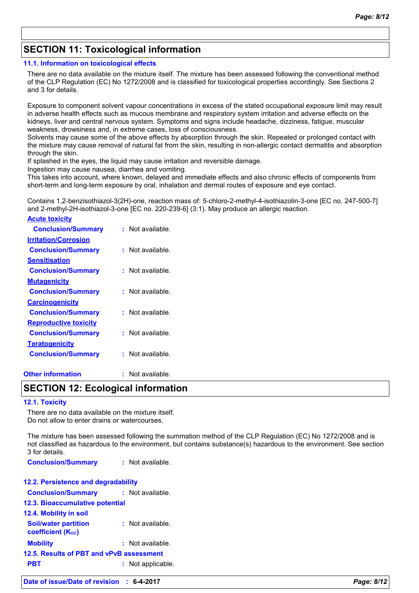# **SECTION 11: Toxicological information**

#### **11.1. Information on toxicological effects**

There are no data available on the mixture itself. The mixture has been assessed following the conventional method of the CLP Regulation (EC) No 1272/2008 and is classified for toxicological properties accordingly. See Sections 2 and 3 for details.

Exposure to component solvent vapour concentrations in excess of the stated occupational exposure limit may result in adverse health effects such as mucous membrane and respiratory system irritation and adverse effects on the kidneys, liver and central nervous system. Symptoms and signs include headache, dizziness, fatigue, muscular weakness, drowsiness and, in extreme cases, loss of consciousness.

Solvents may cause some of the above effects by absorption through the skin. Repeated or prolonged contact with the mixture may cause removal of natural fat from the skin, resulting in non-allergic contact dermatitis and absorption through the skin.

If splashed in the eyes, the liquid may cause irritation and reversible damage.

Ingestion may cause nausea, diarrhea and vomiting.

This takes into account, where known, delayed and immediate effects and also chronic effects of components from short-term and long-term exposure by oral, inhalation and dermal routes of exposure and eye contact.

Contains 1,2-benzisothiazol-3(2H)-one, reaction mass of: 5-chloro-2-methyl-4-isothiazolin-3-one [EC no. 247-500-7] and 2-methyl-2H-isothiazol-3-one [EC no. 220-239-6] (3:1). May produce an allergic reaction.

#### **Acute toxicity**

| <b>Conclusion/Summary</b>    | : Not available. |
|------------------------------|------------------|
| <b>Irritation/Corrosion</b>  |                  |
| <b>Conclusion/Summary</b>    | : Not available. |
| Sensitisation                |                  |
| <b>Conclusion/Summary</b>    | : Not available. |
| <u>Mutagenicity</u>          |                  |
| <b>Conclusion/Summary</b>    | : Not available. |
| <b>Carcinogenicity</b>       |                  |
| <b>Conclusion/Summary</b>    | : Not available. |
| <b>Reproductive toxicity</b> |                  |
| <b>Conclusion/Summary</b>    | : Not available. |
| <b>Teratogenicity</b>        |                  |
| <b>Conclusion/Summary</b>    | Not available.   |
|                              |                  |
|                              |                  |

**Other information :** Not available.

### **SECTION 12: Ecological information**

#### **12.1. Toxicity**

There are no data available on the mixture itself. Do not allow to enter drains or watercourses.

The mixture has been assessed following the summation method of the CLP Regulation (EC) No 1272/2008 and is not classified as hazardous to the environment, but contains substance(s) hazardous to the environment. See section 3 for details.

**Conclusion/Summary :** Not available.

| 12.2. Persistence and degradability                     |                    |  |  |  |
|---------------------------------------------------------|--------------------|--|--|--|
| <b>Conclusion/Summary</b>                               | : Not available.   |  |  |  |
| <b>12.3. Bioaccumulative potential</b>                  |                    |  |  |  |
| <b>12.4. Mobility in soil</b>                           |                    |  |  |  |
| <b>Soil/water partition</b><br><b>coefficient (Koc)</b> | $:$ Not available. |  |  |  |
| <b>Mobility</b>                                         | : Not available.   |  |  |  |
| 12.5. Results of PBT and vPvB assessment                |                    |  |  |  |
| PBT                                                     | : Not applicable.  |  |  |  |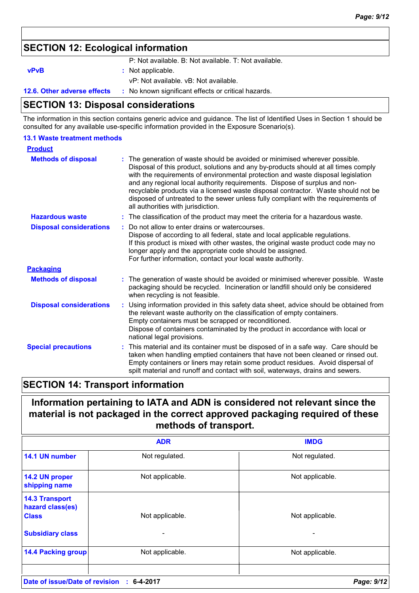# **SECTION 12: Ecological information**

P: Not available. B: Not available. T: Not available.

**vPvB :** Not applicable.

vP: Not available. vB: Not available.

**12.6. Other adverse effects** : No known significant effects or critical hazards.

### **SECTION 13: Disposal considerations**

The information in this section contains generic advice and guidance. The list of Identified Uses in Section 1 should be consulted for any available use-specific information provided in the Exposure Scenario(s).

### **13.1 Waste treatment methods**

| <b>Product</b>                 |                                                                                                                                                                                                                                                                                                                                                                                                                                                                                                                                                          |
|--------------------------------|----------------------------------------------------------------------------------------------------------------------------------------------------------------------------------------------------------------------------------------------------------------------------------------------------------------------------------------------------------------------------------------------------------------------------------------------------------------------------------------------------------------------------------------------------------|
| <b>Methods of disposal</b>     | The generation of waste should be avoided or minimised wherever possible.<br>t.<br>Disposal of this product, solutions and any by-products should at all times comply<br>with the requirements of environmental protection and waste disposal legislation<br>and any regional local authority requirements. Dispose of surplus and non-<br>recyclable products via a licensed waste disposal contractor. Waste should not be<br>disposed of untreated to the sewer unless fully compliant with the requirements of<br>all authorities with jurisdiction. |
| <b>Hazardous waste</b>         | The classification of the product may meet the criteria for a hazardous waste.<br>t.                                                                                                                                                                                                                                                                                                                                                                                                                                                                     |
| <b>Disposal considerations</b> | Do not allow to enter drains or watercourses.<br>Dispose of according to all federal, state and local applicable regulations.<br>If this product is mixed with other wastes, the original waste product code may no<br>longer apply and the appropriate code should be assigned.<br>For further information, contact your local waste authority.                                                                                                                                                                                                         |
| <b>Packaging</b>               |                                                                                                                                                                                                                                                                                                                                                                                                                                                                                                                                                          |
| <b>Methods of disposal</b>     | The generation of waste should be avoided or minimised wherever possible. Waste<br>packaging should be recycled. Incineration or landfill should only be considered<br>when recycling is not feasible.                                                                                                                                                                                                                                                                                                                                                   |
| <b>Disposal considerations</b> | Using information provided in this safety data sheet, advice should be obtained from<br>the relevant waste authority on the classification of empty containers.<br>Empty containers must be scrapped or reconditioned.<br>Dispose of containers contaminated by the product in accordance with local or<br>national legal provisions.                                                                                                                                                                                                                    |
| <b>Special precautions</b>     | This material and its container must be disposed of in a safe way. Care should be<br>÷.<br>taken when handling emptied containers that have not been cleaned or rinsed out.<br>Empty containers or liners may retain some product residues. Avoid dispersal of<br>spilt material and runoff and contact with soil, waterways, drains and sewers.                                                                                                                                                                                                         |

### **SECTION 14: Transport information**

### **Information pertaining to IATA and ADN is considered not relevant since the material is not packaged in the correct approved packaging required of these methods of transport.**

|                                                           | <b>ADR</b>      | <b>IMDG</b>     |
|-----------------------------------------------------------|-----------------|-----------------|
| 14.1 UN number                                            | Not regulated.  | Not regulated.  |
| 14.2 UN proper<br>shipping name                           | Not applicable. | Not applicable. |
| <b>14.3 Transport</b><br>hazard class(es)<br><b>Class</b> | Not applicable. | Not applicable. |
| <b>Subsidiary class</b>                                   |                 |                 |
| <b>14.4 Packing group</b>                                 | Not applicable. | Not applicable. |
| Date of issue/Date of revision                            | 6-4-2017<br>÷.  | Page: 9/12      |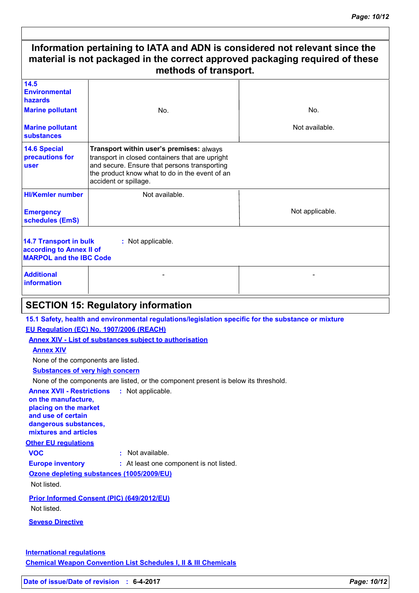| 14.5<br><b>Environmental</b><br>hazards<br><b>Marine pollutant</b><br>No.<br>No.<br>Not available.<br><b>Marine pollutant</b><br><b>substances</b><br><b>14.6 Special</b><br>Transport within user's premises: always<br>precautions for<br>transport in closed containers that are upright<br>and secure. Ensure that persons transporting<br><b>user</b><br>the product know what to do in the event of an<br>accident or spillage.<br>Not available.<br><b>HI/Kemler number</b><br>Not applicable.<br><b>Emergency</b><br>schedules (EmS)<br><b>14.7 Transport in bulk</b><br>: Not applicable.<br>according to Annex II of<br><b>MARPOL and the IBC Code</b><br><b>Additional</b><br><b>information</b><br><b>SECTION 15: Regulatory information</b><br>15.1 Safety, health and environmental regulations/legislation specific for the substance or mixture<br>EU Regulation (EC) No. 1907/2006 (REACH)<br><b>Annex XIV - List of substances subject to authorisation</b><br><b>Annex XIV</b><br>None of the components are listed.<br><b>Substances of very high concern</b><br>None of the components are listed, or the component present is below its threshold.<br><b>Annex XVII - Restrictions</b><br>: Not applicable.<br>on the manufacture,<br>placing on the market<br>and use of certain<br>dangerous substances,<br>mixtures and articles<br><b>Other EU regulations</b><br>$\cdot$ Not available.<br><b>VOC</b><br><b>Europe inventory</b><br>: At least one component is not listed.<br>Ozone depleting substances (1005/2009/EU)<br>Not listed.<br>Prior Informed Consent (PIC) (649/2012/EU)<br>Not listed.<br><b>Seveso Directive</b> | Information pertaining to IATA and ADN is considered not relevant since the<br>material is not packaged in the correct approved packaging required of these<br>methods of transport. |  |
|------------------------------------------------------------------------------------------------------------------------------------------------------------------------------------------------------------------------------------------------------------------------------------------------------------------------------------------------------------------------------------------------------------------------------------------------------------------------------------------------------------------------------------------------------------------------------------------------------------------------------------------------------------------------------------------------------------------------------------------------------------------------------------------------------------------------------------------------------------------------------------------------------------------------------------------------------------------------------------------------------------------------------------------------------------------------------------------------------------------------------------------------------------------------------------------------------------------------------------------------------------------------------------------------------------------------------------------------------------------------------------------------------------------------------------------------------------------------------------------------------------------------------------------------------------------------------------------------------------------------------------------------------------|--------------------------------------------------------------------------------------------------------------------------------------------------------------------------------------|--|
|                                                                                                                                                                                                                                                                                                                                                                                                                                                                                                                                                                                                                                                                                                                                                                                                                                                                                                                                                                                                                                                                                                                                                                                                                                                                                                                                                                                                                                                                                                                                                                                                                                                            |                                                                                                                                                                                      |  |
|                                                                                                                                                                                                                                                                                                                                                                                                                                                                                                                                                                                                                                                                                                                                                                                                                                                                                                                                                                                                                                                                                                                                                                                                                                                                                                                                                                                                                                                                                                                                                                                                                                                            |                                                                                                                                                                                      |  |
|                                                                                                                                                                                                                                                                                                                                                                                                                                                                                                                                                                                                                                                                                                                                                                                                                                                                                                                                                                                                                                                                                                                                                                                                                                                                                                                                                                                                                                                                                                                                                                                                                                                            |                                                                                                                                                                                      |  |
|                                                                                                                                                                                                                                                                                                                                                                                                                                                                                                                                                                                                                                                                                                                                                                                                                                                                                                                                                                                                                                                                                                                                                                                                                                                                                                                                                                                                                                                                                                                                                                                                                                                            |                                                                                                                                                                                      |  |
|                                                                                                                                                                                                                                                                                                                                                                                                                                                                                                                                                                                                                                                                                                                                                                                                                                                                                                                                                                                                                                                                                                                                                                                                                                                                                                                                                                                                                                                                                                                                                                                                                                                            |                                                                                                                                                                                      |  |
|                                                                                                                                                                                                                                                                                                                                                                                                                                                                                                                                                                                                                                                                                                                                                                                                                                                                                                                                                                                                                                                                                                                                                                                                                                                                                                                                                                                                                                                                                                                                                                                                                                                            |                                                                                                                                                                                      |  |
|                                                                                                                                                                                                                                                                                                                                                                                                                                                                                                                                                                                                                                                                                                                                                                                                                                                                                                                                                                                                                                                                                                                                                                                                                                                                                                                                                                                                                                                                                                                                                                                                                                                            |                                                                                                                                                                                      |  |
|                                                                                                                                                                                                                                                                                                                                                                                                                                                                                                                                                                                                                                                                                                                                                                                                                                                                                                                                                                                                                                                                                                                                                                                                                                                                                                                                                                                                                                                                                                                                                                                                                                                            |                                                                                                                                                                                      |  |
|                                                                                                                                                                                                                                                                                                                                                                                                                                                                                                                                                                                                                                                                                                                                                                                                                                                                                                                                                                                                                                                                                                                                                                                                                                                                                                                                                                                                                                                                                                                                                                                                                                                            |                                                                                                                                                                                      |  |
|                                                                                                                                                                                                                                                                                                                                                                                                                                                                                                                                                                                                                                                                                                                                                                                                                                                                                                                                                                                                                                                                                                                                                                                                                                                                                                                                                                                                                                                                                                                                                                                                                                                            |                                                                                                                                                                                      |  |
|                                                                                                                                                                                                                                                                                                                                                                                                                                                                                                                                                                                                                                                                                                                                                                                                                                                                                                                                                                                                                                                                                                                                                                                                                                                                                                                                                                                                                                                                                                                                                                                                                                                            |                                                                                                                                                                                      |  |
|                                                                                                                                                                                                                                                                                                                                                                                                                                                                                                                                                                                                                                                                                                                                                                                                                                                                                                                                                                                                                                                                                                                                                                                                                                                                                                                                                                                                                                                                                                                                                                                                                                                            |                                                                                                                                                                                      |  |
|                                                                                                                                                                                                                                                                                                                                                                                                                                                                                                                                                                                                                                                                                                                                                                                                                                                                                                                                                                                                                                                                                                                                                                                                                                                                                                                                                                                                                                                                                                                                                                                                                                                            |                                                                                                                                                                                      |  |
|                                                                                                                                                                                                                                                                                                                                                                                                                                                                                                                                                                                                                                                                                                                                                                                                                                                                                                                                                                                                                                                                                                                                                                                                                                                                                                                                                                                                                                                                                                                                                                                                                                                            |                                                                                                                                                                                      |  |
|                                                                                                                                                                                                                                                                                                                                                                                                                                                                                                                                                                                                                                                                                                                                                                                                                                                                                                                                                                                                                                                                                                                                                                                                                                                                                                                                                                                                                                                                                                                                                                                                                                                            |                                                                                                                                                                                      |  |
|                                                                                                                                                                                                                                                                                                                                                                                                                                                                                                                                                                                                                                                                                                                                                                                                                                                                                                                                                                                                                                                                                                                                                                                                                                                                                                                                                                                                                                                                                                                                                                                                                                                            |                                                                                                                                                                                      |  |
|                                                                                                                                                                                                                                                                                                                                                                                                                                                                                                                                                                                                                                                                                                                                                                                                                                                                                                                                                                                                                                                                                                                                                                                                                                                                                                                                                                                                                                                                                                                                                                                                                                                            |                                                                                                                                                                                      |  |
|                                                                                                                                                                                                                                                                                                                                                                                                                                                                                                                                                                                                                                                                                                                                                                                                                                                                                                                                                                                                                                                                                                                                                                                                                                                                                                                                                                                                                                                                                                                                                                                                                                                            |                                                                                                                                                                                      |  |
|                                                                                                                                                                                                                                                                                                                                                                                                                                                                                                                                                                                                                                                                                                                                                                                                                                                                                                                                                                                                                                                                                                                                                                                                                                                                                                                                                                                                                                                                                                                                                                                                                                                            |                                                                                                                                                                                      |  |
|                                                                                                                                                                                                                                                                                                                                                                                                                                                                                                                                                                                                                                                                                                                                                                                                                                                                                                                                                                                                                                                                                                                                                                                                                                                                                                                                                                                                                                                                                                                                                                                                                                                            |                                                                                                                                                                                      |  |
|                                                                                                                                                                                                                                                                                                                                                                                                                                                                                                                                                                                                                                                                                                                                                                                                                                                                                                                                                                                                                                                                                                                                                                                                                                                                                                                                                                                                                                                                                                                                                                                                                                                            |                                                                                                                                                                                      |  |
|                                                                                                                                                                                                                                                                                                                                                                                                                                                                                                                                                                                                                                                                                                                                                                                                                                                                                                                                                                                                                                                                                                                                                                                                                                                                                                                                                                                                                                                                                                                                                                                                                                                            |                                                                                                                                                                                      |  |
|                                                                                                                                                                                                                                                                                                                                                                                                                                                                                                                                                                                                                                                                                                                                                                                                                                                                                                                                                                                                                                                                                                                                                                                                                                                                                                                                                                                                                                                                                                                                                                                                                                                            |                                                                                                                                                                                      |  |
|                                                                                                                                                                                                                                                                                                                                                                                                                                                                                                                                                                                                                                                                                                                                                                                                                                                                                                                                                                                                                                                                                                                                                                                                                                                                                                                                                                                                                                                                                                                                                                                                                                                            |                                                                                                                                                                                      |  |
|                                                                                                                                                                                                                                                                                                                                                                                                                                                                                                                                                                                                                                                                                                                                                                                                                                                                                                                                                                                                                                                                                                                                                                                                                                                                                                                                                                                                                                                                                                                                                                                                                                                            |                                                                                                                                                                                      |  |
|                                                                                                                                                                                                                                                                                                                                                                                                                                                                                                                                                                                                                                                                                                                                                                                                                                                                                                                                                                                                                                                                                                                                                                                                                                                                                                                                                                                                                                                                                                                                                                                                                                                            |                                                                                                                                                                                      |  |
|                                                                                                                                                                                                                                                                                                                                                                                                                                                                                                                                                                                                                                                                                                                                                                                                                                                                                                                                                                                                                                                                                                                                                                                                                                                                                                                                                                                                                                                                                                                                                                                                                                                            |                                                                                                                                                                                      |  |
| <b>International requlations</b>                                                                                                                                                                                                                                                                                                                                                                                                                                                                                                                                                                                                                                                                                                                                                                                                                                                                                                                                                                                                                                                                                                                                                                                                                                                                                                                                                                                                                                                                                                                                                                                                                           |                                                                                                                                                                                      |  |

**Chemical Weapon Convention List Schedules I, II & III Chemicals**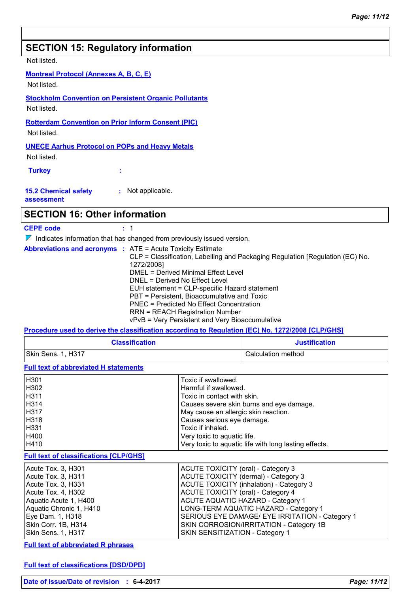## **SECTION 15: Regulatory information**

Not listed.

#### **Montreal Protocol (Annexes A, B, C, E)**

Not listed.

**Stockholm Convention on Persistent Organic Pollutants** Not listed.

**Rotterdam Convention on Prior Inform Consent (PIC)**

Not listed.

**UNECE Aarhus Protocol on POPs and Heavy Metals** Not listed.

**Turkey :**

**15.2 Chemical safety assessment :** Not applicable.

### **SECTION 16: Other information**

#### **CEPE code :** 1

 $\nabla$  Indicates information that has changed from previously issued version.

|  | <b>Abbreviations and acronyms : ATE = Acute Toxicity Estimate</b>             |
|--|-------------------------------------------------------------------------------|
|  | CLP = Classification, Labelling and Packaging Regulation [Regulation (EC) No. |
|  | 1272/2008]                                                                    |
|  | DMEL = Derived Minimal Effect Level                                           |
|  | DNEL = Derived No Effect Level                                                |
|  | EUH statement = CLP-specific Hazard statement                                 |
|  | PBT = Persistent, Bioaccumulative and Toxic                                   |
|  | PNEC = Predicted No Effect Concentration                                      |
|  | <b>RRN = REACH Registration Number</b>                                        |
|  | vPvB = Very Persistent and Very Bioaccumulative                               |

### **Procedure used to derive the classification according to Regulation (EC) No. 1272/2008 [CLP/GHS]**

| <b>Classification</b> | <b>Justification</b> |
|-----------------------|----------------------|
| Skin Sens. 1, H317    | Calculation method   |

**Full text of abbreviated H statements**

| H301                                          | Toxic if swallowed.                                   |
|-----------------------------------------------|-------------------------------------------------------|
| H302                                          | Harmful if swallowed.                                 |
| H311                                          | Toxic in contact with skin.                           |
| H <sub>314</sub>                              | Causes severe skin burns and eye damage.              |
| H317                                          | May cause an allergic skin reaction.                  |
| H318                                          | Causes serious eye damage.                            |
| H <sub>331</sub>                              | Toxic if inhaled.                                     |
| H400                                          | Very toxic to aquatic life.                           |
| H410                                          | Very toxic to aquatic life with long lasting effects. |
| <b>Full text of classifications [CLP/GHS]</b> |                                                       |
| Acute Tox. 3, H301                            | ACUTE TOXICITY (oral) - Category 3                    |
| Acute Tox. 3, H311                            | ACUTE TOXICITY (dermal) - Category 3                  |
| Acute Tox. 3, H331                            | <b>ACUTE TOXICITY (inhalation) - Category 3</b>       |
| Acute Tox. 4, H302                            | <b>ACUTE TOXICITY (oral) - Category 4</b>             |
| Aquatic Acute 1, H400                         | <b>ACUTE AQUATIC HAZARD - Category 1</b>              |
| Aquatic Chronic 1, H410                       | LONG-TERM AQUATIC HAZARD - Category 1                 |
| Eye Dam. 1, H318                              | SERIOUS EYE DAMAGE/ EYE IRRITATION - Category 1       |
| Skin Corr. 1B, H314                           | SKIN CORROSION/IRRITATION - Category 1B               |
| Skin Sens. 1, H317                            | SKIN SENSITIZATION - Category 1                       |

**Full text of abbreviated R phrases**

#### **Full text of classifications [DSD/DPD]**